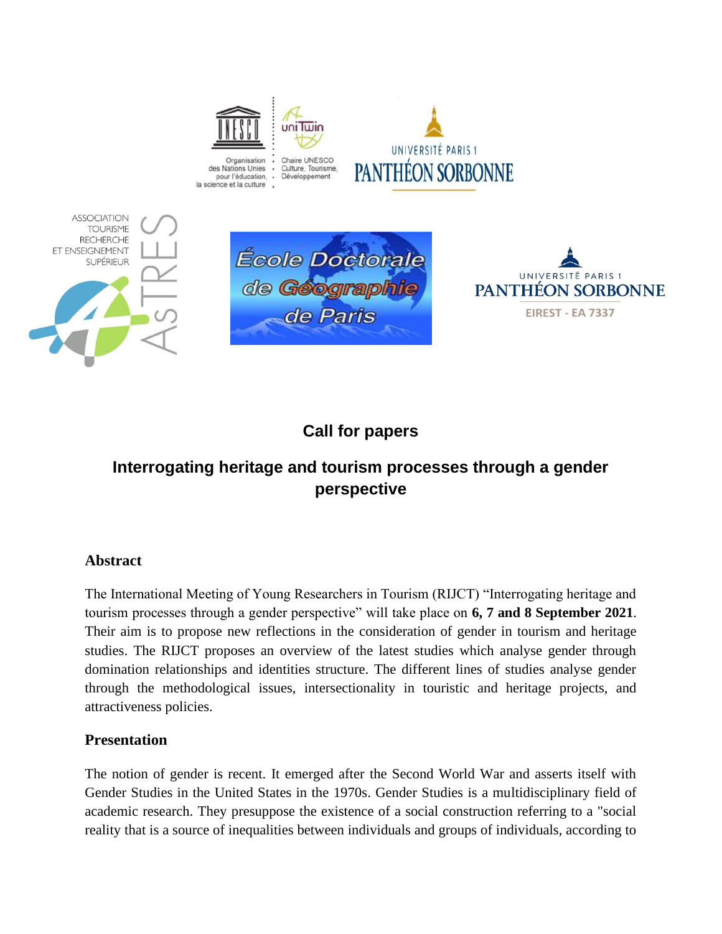







# **Call for papers**

de Paris

# **Interrogating heritage and tourism processes through a gender perspective**

# **Abstract**

The International Meeting of Young Researchers in Tourism (RIJCT) "Interrogating heritage and tourism processes through a gender perspective" will take place on **6, 7 and 8 September 2021**. Their aim is to propose new reflections in the consideration of gender in tourism and heritage studies. The RIJCT proposes an overview of the latest studies which analyse gender through domination relationships and identities structure. The different lines of studies analyse gender through the methodological issues, intersectionality in touristic and heritage projects, and attractiveness policies.

# **Presentation**

The notion of gender is recent. It emerged after the Second World War and asserts itself with Gender Studies in the United States in the 1970s. Gender Studies is a multidisciplinary field of academic research. They presuppose the existence of a social construction referring to a "social reality that is a source of inequalities between individuals and groups of individuals, according to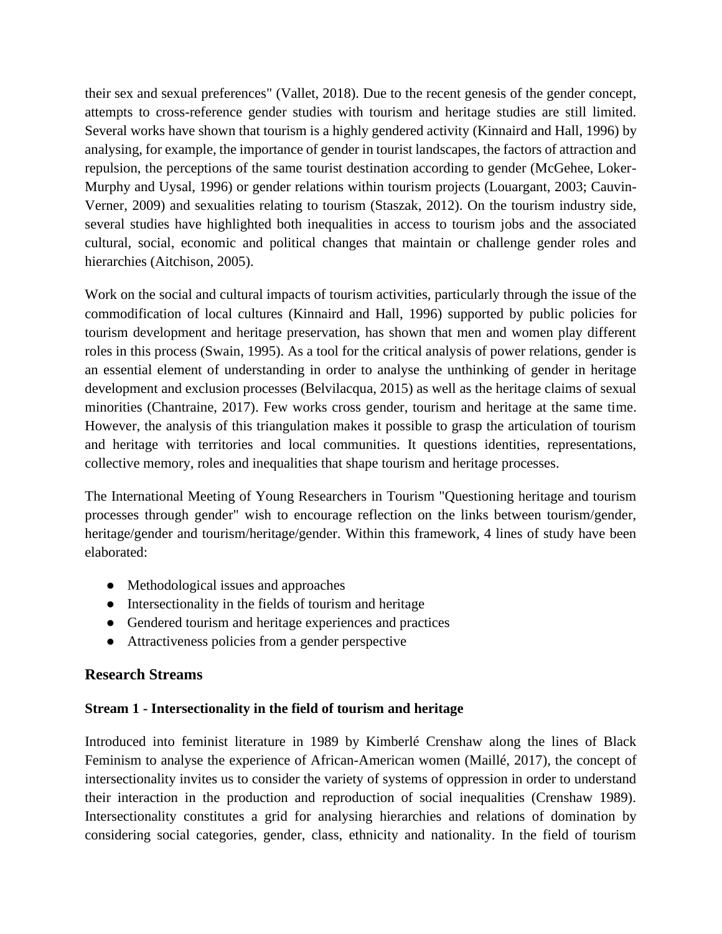their sex and sexual preferences" (Vallet, 2018). Due to the recent genesis of the gender concept, attempts to cross-reference gender studies with tourism and heritage studies are still limited. Several works have shown that tourism is a highly gendered activity (Kinnaird and Hall, 1996) by analysing, for example, the importance of gender in tourist landscapes, the factors of attraction and repulsion, the perceptions of the same tourist destination according to gender (McGehee, Loker-Murphy and Uysal, 1996) or gender relations within tourism projects (Louargant, 2003; Cauvin-Verner, 2009) and sexualities relating to tourism (Staszak, 2012). On the tourism industry side, several studies have highlighted both inequalities in access to tourism jobs and the associated cultural, social, economic and political changes that maintain or challenge gender roles and hierarchies (Aitchison, 2005).

Work on the social and cultural impacts of tourism activities, particularly through the issue of the commodification of local cultures (Kinnaird and Hall, 1996) supported by public policies for tourism development and heritage preservation, has shown that men and women play different roles in this process (Swain, 1995). As a tool for the critical analysis of power relations, gender is an essential element of understanding in order to analyse the unthinking of gender in heritage development and exclusion processes (Belvilacqua, 2015) as well as the heritage claims of sexual minorities (Chantraine, 2017). Few works cross gender, tourism and heritage at the same time. However, the analysis of this triangulation makes it possible to grasp the articulation of tourism and heritage with territories and local communities. It questions identities, representations, collective memory, roles and inequalities that shape tourism and heritage processes.

The International Meeting of Young Researchers in Tourism "Questioning heritage and tourism processes through gender" wish to encourage reflection on the links between tourism/gender, heritage/gender and tourism/heritage/gender. Within this framework, 4 lines of study have been elaborated:

- Methodological issues and approaches
- Intersectionality in the fields of tourism and heritage
- Gendered tourism and heritage experiences and practices
- Attractiveness policies from a gender perspective

#### **Research Streams**

#### **Stream 1 - Intersectionality in the field of tourism and heritage**

Introduced into feminist literature in 1989 by Kimberlé Crenshaw along the lines of Black Feminism to analyse the experience of African-American women (Maillé, 2017), the concept of intersectionality invites us to consider the variety of systems of oppression in order to understand their interaction in the production and reproduction of social inequalities (Crenshaw 1989). Intersectionality constitutes a grid for analysing hierarchies and relations of domination by considering social categories, gender, class, ethnicity and nationality. In the field of tourism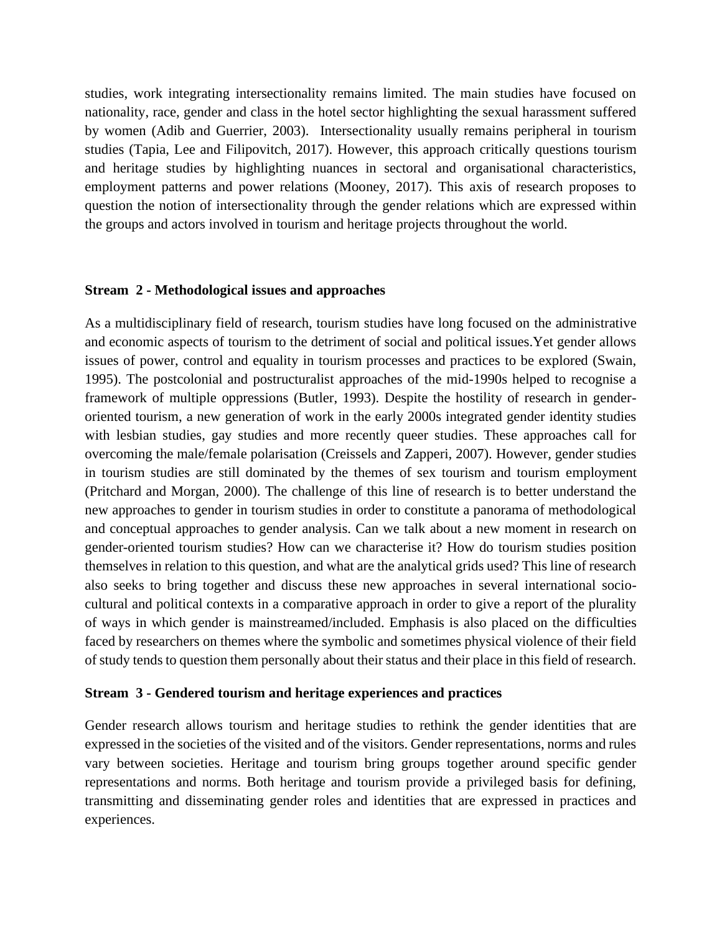studies, work integrating intersectionality remains limited. The main studies have focused on nationality, race, gender and class in the hotel sector highlighting the sexual harassment suffered by women (Adib and Guerrier, 2003). Intersectionality usually remains peripheral in tourism studies (Tapia, Lee and Filipovitch, 2017). However, this approach critically questions tourism and heritage studies by highlighting nuances in sectoral and organisational characteristics, employment patterns and power relations (Mooney, 2017). This axis of research proposes to question the notion of intersectionality through the gender relations which are expressed within the groups and actors involved in tourism and heritage projects throughout the world.

#### **Stream 2 - Methodological issues and approaches**

As a multidisciplinary field of research, tourism studies have long focused on the administrative and economic aspects of tourism to the detriment of social and political issues.Yet gender allows issues of power, control and equality in tourism processes and practices to be explored (Swain, 1995). The postcolonial and postructuralist approaches of the mid-1990s helped to recognise a framework of multiple oppressions (Butler, 1993). Despite the hostility of research in genderoriented tourism, a new generation of work in the early 2000s integrated gender identity studies with lesbian studies, gay studies and more recently queer studies. These approaches call for overcoming the male/female polarisation (Creissels and Zapperi, 2007). However, gender studies in tourism studies are still dominated by the themes of sex tourism and tourism employment (Pritchard and Morgan, 2000). The challenge of this line of research is to better understand the new approaches to gender in tourism studies in order to constitute a panorama of methodological and conceptual approaches to gender analysis. Can we talk about a new moment in research on gender-oriented tourism studies? How can we characterise it? How do tourism studies position themselves in relation to this question, and what are the analytical grids used? This line of research also seeks to bring together and discuss these new approaches in several international sociocultural and political contexts in a comparative approach in order to give a report of the plurality of ways in which gender is mainstreamed/included. Emphasis is also placed on the difficulties faced by researchers on themes where the symbolic and sometimes physical violence of their field of study tends to question them personally about their status and their place in this field of research.

#### **Stream 3 - Gendered tourism and heritage experiences and practices**

Gender research allows tourism and heritage studies to rethink the gender identities that are expressed in the societies of the visited and of the visitors. Gender representations, norms and rules vary between societies. Heritage and tourism bring groups together around specific gender representations and norms. Both heritage and tourism provide a privileged basis for defining, transmitting and disseminating gender roles and identities that are expressed in practices and experiences.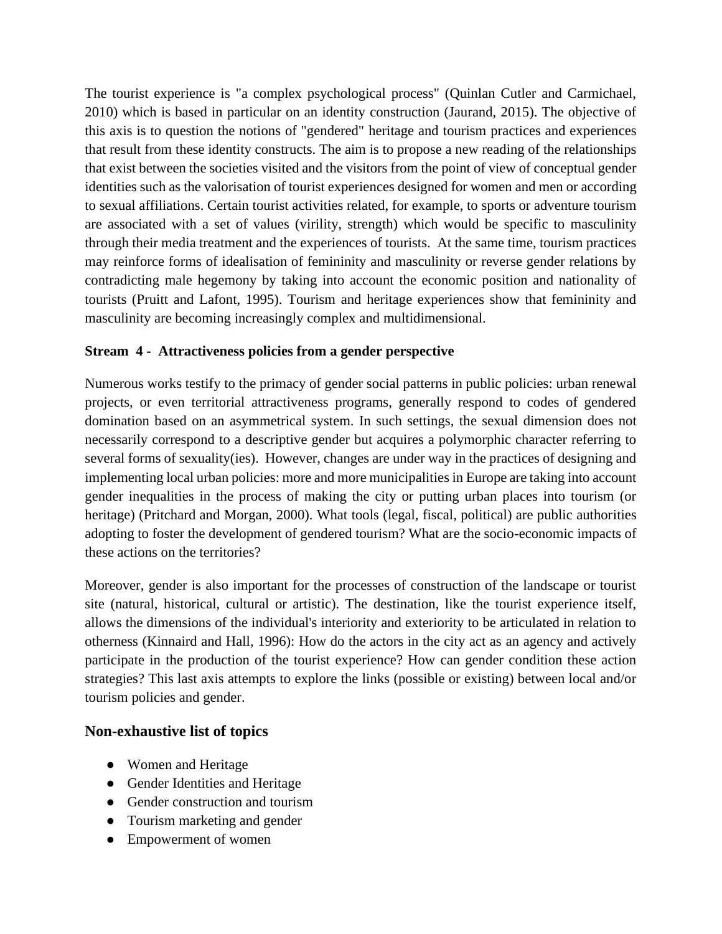The tourist experience is "a complex psychological process" (Quinlan Cutler and Carmichael, 2010) which is based in particular on an identity construction (Jaurand, 2015). The objective of this axis is to question the notions of "gendered" heritage and tourism practices and experiences that result from these identity constructs. The aim is to propose a new reading of the relationships that exist between the societies visited and the visitors from the point of view of conceptual gender identities such as the valorisation of tourist experiences designed for women and men or according to sexual affiliations. Certain tourist activities related, for example, to sports or adventure tourism are associated with a set of values (virility, strength) which would be specific to masculinity through their media treatment and the experiences of tourists. At the same time, tourism practices may reinforce forms of idealisation of femininity and masculinity or reverse gender relations by contradicting male hegemony by taking into account the economic position and nationality of tourists (Pruitt and Lafont, 1995). Tourism and heritage experiences show that femininity and masculinity are becoming increasingly complex and multidimensional.

### **Stream 4 - Attractiveness policies from a gender perspective**

Numerous works testify to the primacy of gender social patterns in public policies: urban renewal projects, or even territorial attractiveness programs, generally respond to codes of gendered domination based on an asymmetrical system. In such settings, the sexual dimension does not necessarily correspond to a descriptive gender but acquires a polymorphic character referring to several forms of sexuality(ies). However, changes are under way in the practices of designing and implementing local urban policies: more and more municipalities in Europe are taking into account gender inequalities in the process of making the city or putting urban places into tourism (or heritage) (Pritchard and Morgan, 2000). What tools (legal, fiscal, political) are public authorities adopting to foster the development of gendered tourism? What are the socio-economic impacts of these actions on the territories?

Moreover, gender is also important for the processes of construction of the landscape or tourist site (natural, historical, cultural or artistic). The destination, like the tourist experience itself, allows the dimensions of the individual's interiority and exteriority to be articulated in relation to otherness (Kinnaird and Hall, 1996): How do the actors in the city act as an agency and actively participate in the production of the tourist experience? How can gender condition these action strategies? This last axis attempts to explore the links (possible or existing) between local and/or tourism policies and gender.

### **Non-exhaustive list of topics**

- Women and Heritage
- Gender Identities and Heritage
- Gender construction and tourism
- Tourism marketing and gender
- Empowerment of women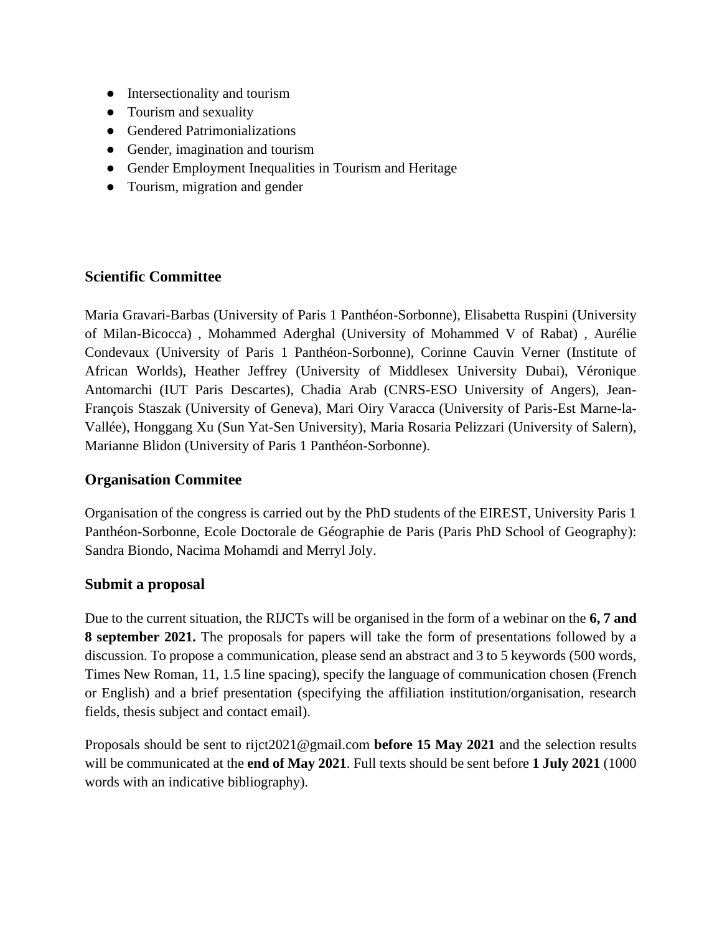- Intersectionality and tourism
- Tourism and sexuality
- Gendered Patrimonializations
- Gender, imagination and tourism
- Gender Employment Inequalities in Tourism and Heritage
- Tourism, migration and gender

# **Scientific Committee**

Maria Gravari-Barbas (University of Paris 1 Panthéon-Sorbonne), Elisabetta Ruspini (University of Milan-Bicocca) , Mohammed Aderghal (University of Mohammed V of Rabat) , Aurélie Condevaux (University of Paris 1 Panthéon-Sorbonne), Corinne Cauvin Verner (Institute of African Worlds), Heather Jeffrey (University of Middlesex University Dubai), Véronique Antomarchi (IUT Paris Descartes), Chadia Arab (CNRS-ESO University of Angers), Jean-François Staszak (University of Geneva), Mari Oiry Varacca (University of Paris-Est Marne-la-Vallée), Honggang Xu (Sun Yat-Sen University), Maria Rosaria Pelizzari (University of Salern), Marianne Blidon (University of Paris 1 Panthéon-Sorbonne).

# **Organisation Commitee**

Organisation of the congress is carried out by the PhD students of the EIREST, University Paris 1 Panthéon-Sorbonne, Ecole Doctorale de Géographie de Paris (Paris PhD School of Geography): Sandra Biondo, Nacima Mohamdi and Merryl Joly.

# **Submit a proposal**

Due to the current situation, the RIJCTs will be organised in the form of a webinar on the **6, 7 and 8 september 2021.** The proposals for papers will take the form of presentations followed by a discussion. To propose a communication, please send an abstract and 3 to 5 keywords (500 words, Times New Roman, 11, 1.5 line spacing), specify the language of communication chosen (French or English) and a brief presentation (specifying the affiliation institution/organisation, research fields, thesis subject and contact email).

Proposals should be sent to rijct2021@gmail.com **before 15 May 2021** and the selection results will be communicated at the **end of May 2021**. Full texts should be sent before **1 July 2021** (1000 words with an indicative bibliography).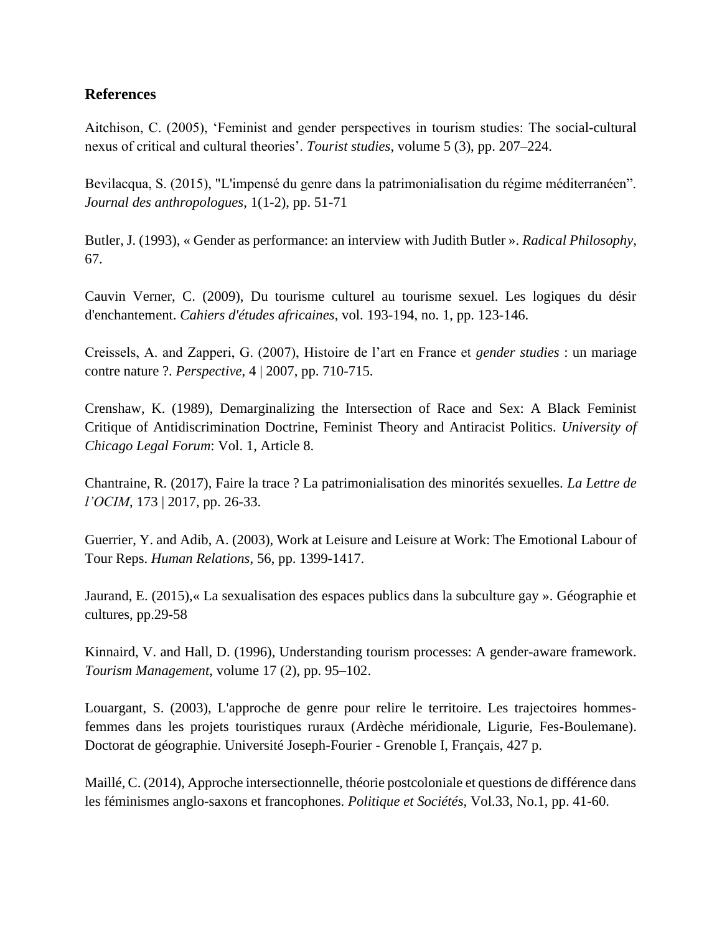### **References**

Aitchison, C. (2005), 'Feminist and gender perspectives in tourism studies: The social-cultural nexus of critical and cultural theories'. *Tourist studies*, volume 5 (3), pp. 207–224.

Bevilacqua, S. (2015), "L'impensé du genre dans la patrimonialisation du régime méditerranéen". *Journal des anthropologues*, 1(1-2), pp. 51-71

Butler, J. (1993), « Gender as performance: an interview with Judith Butler ». *Radical Philosophy*, 67.

Cauvin Verner, C. (2009), Du tourisme culturel au tourisme sexuel. Les logiques du désir d'enchantement. *Cahiers d'études africaines*, vol. 193-194, no. 1, pp. 123-146.

Creissels, A. and Zapperi, G. (2007), Histoire de l'art en France et *gender studies* : un mariage contre nature ?. *Perspective*, 4 | 2007, pp. 710-715.

Crenshaw, K. (1989), Demarginalizing the Intersection of Race and Sex: A Black Feminist Critique of Antidiscrimination Doctrine, Feminist Theory and Antiracist Politics. *University of Chicago Legal Forum*: Vol. 1, Article 8.

Chantraine, R. (2017), Faire la trace ? La patrimonialisation des minorités sexuelles. *La Lettre de l'OCIM*, 173 | 2017, pp. 26-33.

Guerrier, Y. and Adib, A. (2003), Work at Leisure and Leisure at Work: The Emotional Labour of Tour Reps. *Human Relations*, 56, pp. 1399-1417.

Jaurand, E. (2015),« La sexualisation des espaces publics dans la subculture gay ». Géographie et cultures, pp.29-58

Kinnaird, V. and Hall, D. (1996), Understanding tourism processes: A gender-aware framework. *Tourism Management*, volume 17 (2), pp. 95–102.

Louargant, S. (2003), L'approche de genre pour relire le territoire. Les trajectoires hommesfemmes dans les projets touristiques ruraux (Ardèche méridionale, Ligurie, Fes-Boulemane). Doctorat de géographie. Université Joseph-Fourier - Grenoble I, Français, 427 p.

Maillé, C. (2014), Approche intersectionnelle, théorie postcoloniale et questions de différence dans les féminismes anglo-saxons et francophones. *Politique et Sociétés*, Vol.33, No.1, pp. 41-60.